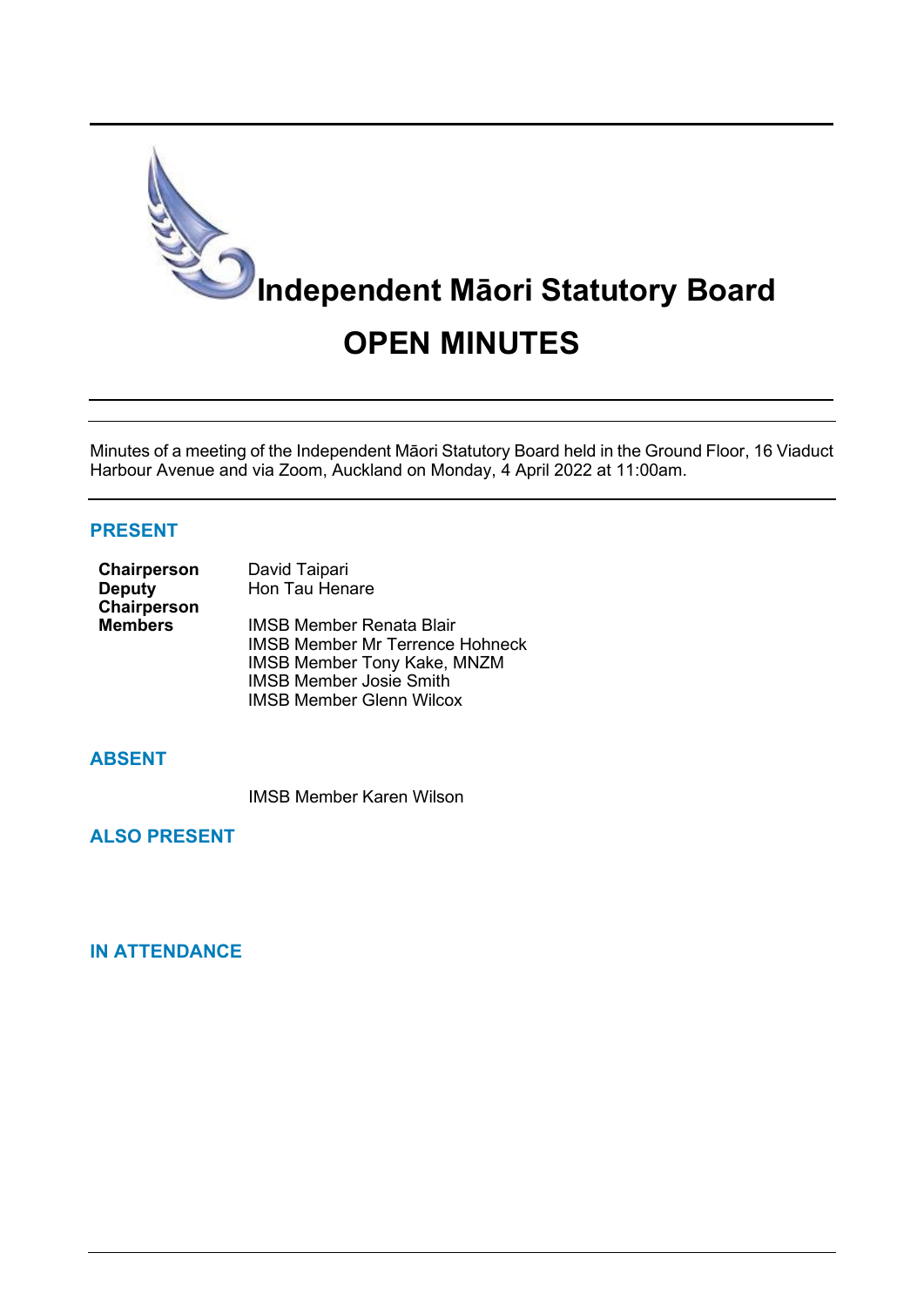

Minutes of a meeting of the Independent Māori Statutory Board held in the Ground Floor, 16 Viaduct Harbour Avenue and via Zoom, Auckland on Monday, 4 April 2022 at 11:00am.

### **PRESENT**

| Chairperson    | David Taipari                          |  |
|----------------|----------------------------------------|--|
| <b>Deputy</b>  | Hon Tau Henare                         |  |
| Chairperson    |                                        |  |
| <b>Members</b> | IMSB Member Renata Blair               |  |
|                | <b>IMSB Member Mr Terrence Hohneck</b> |  |
|                | <b>IMSB Member Tony Kake, MNZM</b>     |  |
|                | <b>IMSB Member Josie Smith</b>         |  |
|                | <b>IMSB Member Glenn Wilcox</b>        |  |

### **ABSENT**

IMSB Member Karen Wilson

**ALSO PRESENT**

# **IN ATTENDANCE**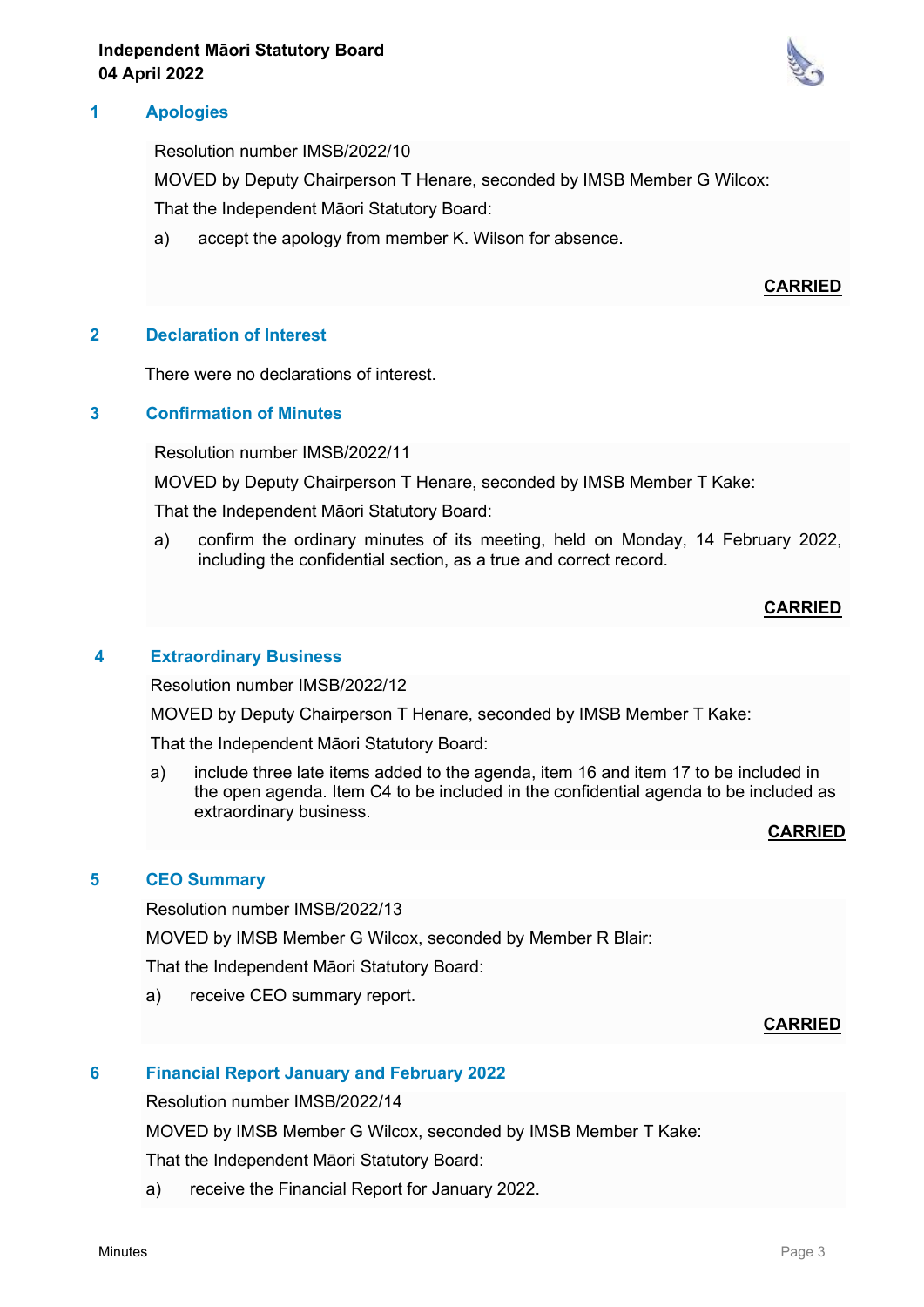## **1 Apologies**

Resolution number IMSB/2022/10

MOVED by Deputy Chairperson T Henare, seconded by IMSB Member G Wilcox:

That the Independent Māori Statutory Board:

a) accept the apology from member K. Wilson for absence.

## **CARRIED**

### **2 Declaration of Interest**

There were no declarations of interest.

### **3 Confirmation of Minutes**

Resolution number IMSB/2022/11

MOVED by Deputy Chairperson T Henare, seconded by IMSB Member T Kake:

That the Independent Māori Statutory Board:

a) confirm the ordinary minutes of its meeting, held on Monday, 14 February 2022, including the confidential section, as a true and correct record.

# **CARRIED**

### **4 Extraordinary Business**

Resolution number IMSB/2022/12

MOVED by Deputy Chairperson T Henare, seconded by IMSB Member T Kake:

That the Independent Māori Statutory Board:

a) include three late items added to the agenda, item 16 and item 17 to be included in the open agenda. Item C4 to be included in the confidential agenda to be included as extraordinary business.

### **CARRIED**

### **5 CEO Summary**

Resolution number IMSB/2022/13

MOVED by IMSB Member G Wilcox, seconded by Member R Blair:

That the Independent Māori Statutory Board:

a) receive CEO summary report.

### **CARRIED**

### **6 Financial Report January and February 2022**

Resolution number IMSB/2022/14

MOVED by IMSB Member G Wilcox, seconded by IMSB Member T Kake:

That the Independent Māori Statutory Board:

a) receive the Financial Report for January 2022.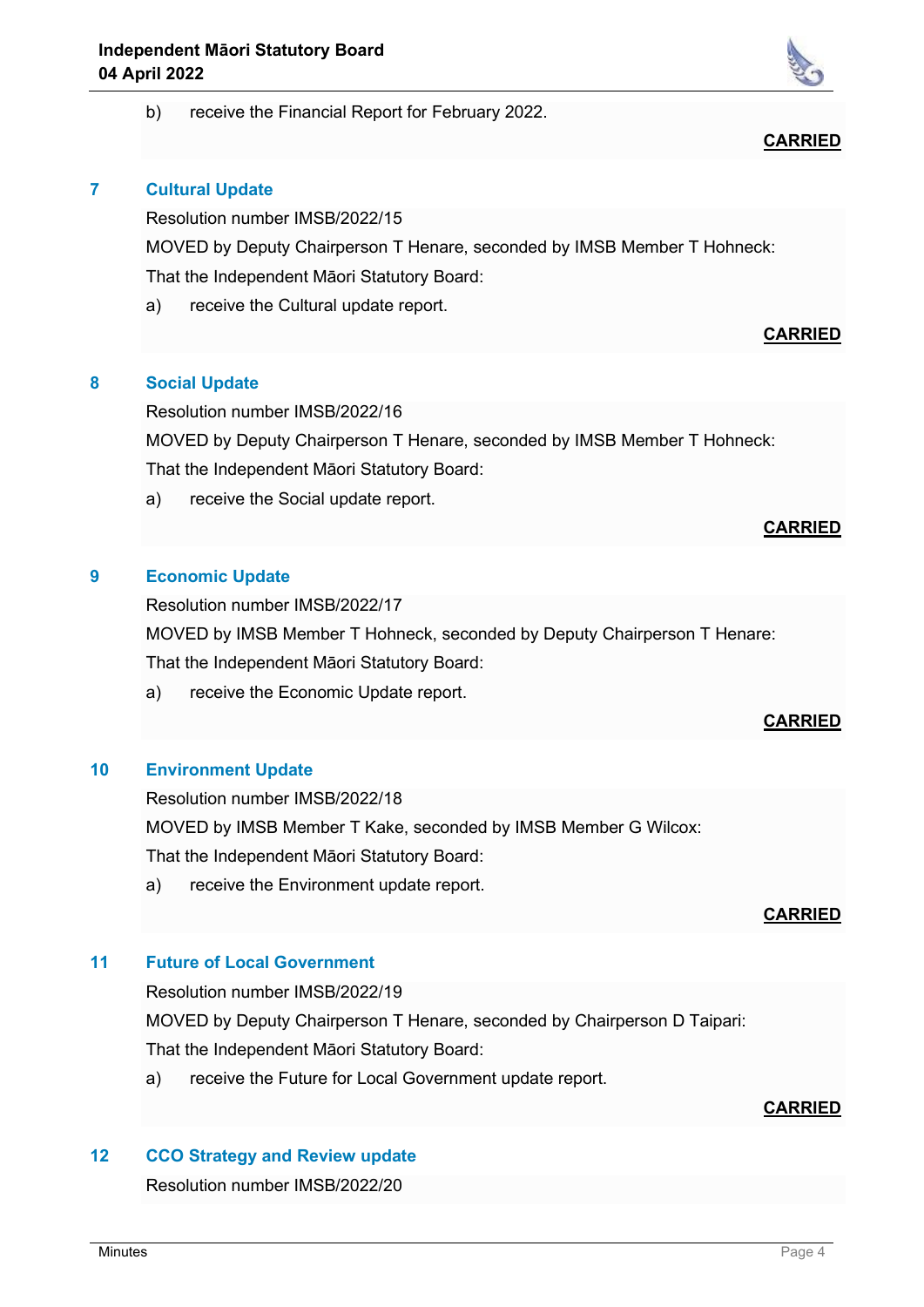

### **7 Cultural Update**

Resolution number IMSB/2022/15

MOVED by Deputy Chairperson T Henare, seconded by IMSB Member T Hohneck: That the Independent Māori Statutory Board:

a) receive the Cultural update report.

# **CARRIED**

### **8 Social Update**

Resolution number IMSB/2022/16

MOVED by Deputy Chairperson T Henare, seconded by IMSB Member T Hohneck: That the Independent Māori Statutory Board:

a) receive the Social update report.

### **9 Economic Update**

Resolution number IMSB/2022/17

MOVED by IMSB Member T Hohneck, seconded by Deputy Chairperson T Henare:

That the Independent Māori Statutory Board:

a) receive the Economic Update report.

### **CARRIED**

**CARRIED**

### **10 Environment Update**

Resolution number IMSB/2022/18 MOVED by IMSB Member T Kake, seconded by IMSB Member G Wilcox:

That the Independent Māori Statutory Board:

a) receive the Environment update report.

### **CARRIED**

# **11 Future of Local Government**

Resolution number IMSB/2022/19

MOVED by Deputy Chairperson T Henare, seconded by Chairperson D Taipari:

That the Independent Māori Statutory Board:

a) receive the Future for Local Government update report.

# **CARRIED**

# **12 CCO Strategy and Review update**

Resolution number IMSB/2022/20



**CARRIED**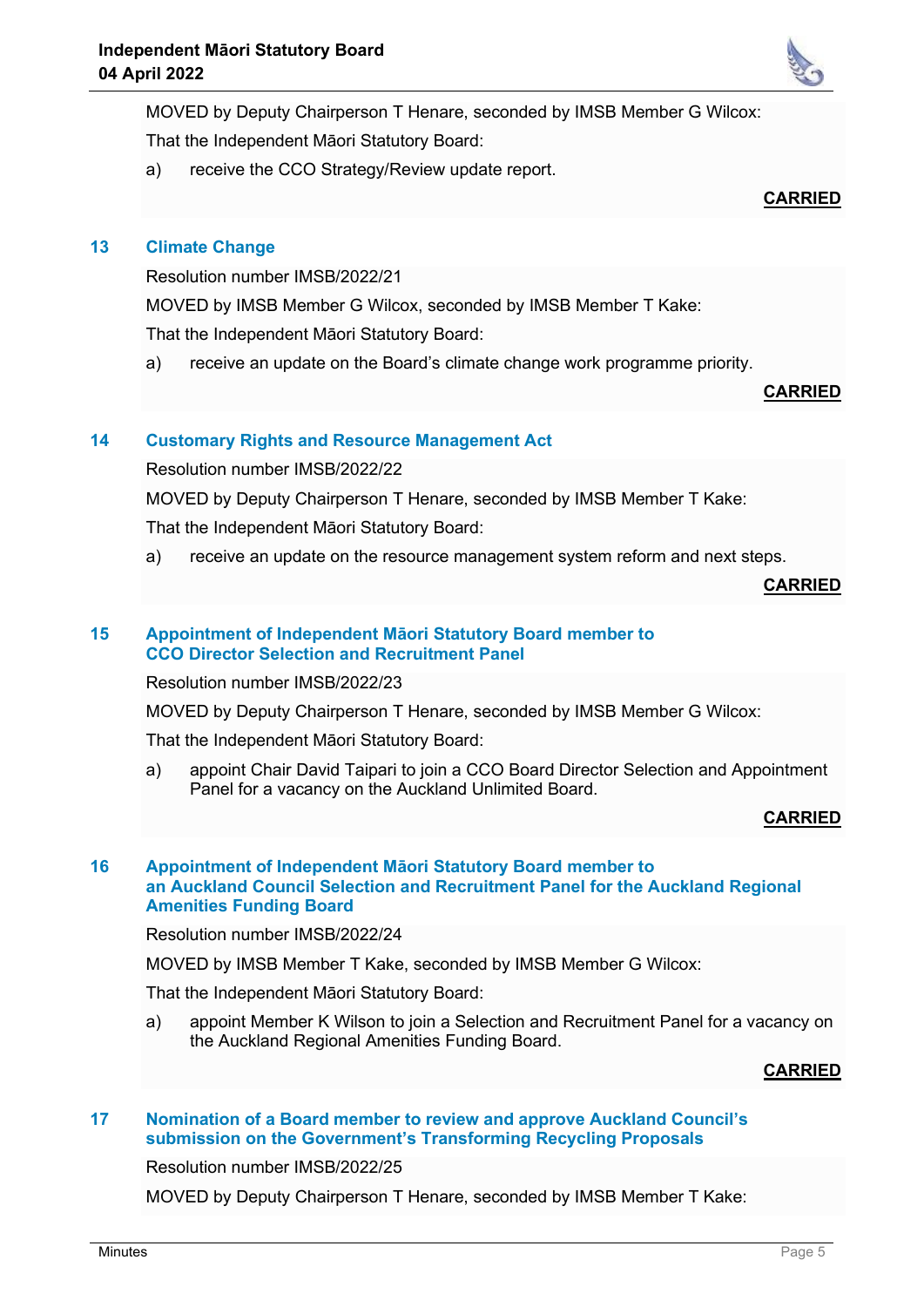MOVED by Deputy Chairperson T Henare, seconded by IMSB Member G Wilcox:

That the Independent Māori Statutory Board:

a) receive the CCO Strategy/Review update report.

# **CARRIED**

# **13 Climate Change**

Resolution number IMSB/2022/21 MOVED by IMSB Member G Wilcox, seconded by IMSB Member T Kake: That the Independent Māori Statutory Board:

a) receive an update on the Board's climate change work programme priority.

### **CARRIED**

# **14 Customary Rights and Resource Management Act**

Resolution number IMSB/2022/22

MOVED by Deputy Chairperson T Henare, seconded by IMSB Member T Kake:

That the Independent Māori Statutory Board:

a) receive an update on the resource management system reform and next steps.

**CARRIED**

### **15 Appointment of Independent Māori Statutory Board member to CCO Director Selection and Recruitment Panel**

Resolution number IMSB/2022/23

MOVED by Deputy Chairperson T Henare, seconded by IMSB Member G Wilcox:

That the Independent Māori Statutory Board:

a) appoint Chair David Taipari to join a CCO Board Director Selection and Appointment Panel for a vacancy on the Auckland Unlimited Board.

### **CARRIED**

### **16 Appointment of Independent Māori Statutory Board member to an Auckland Council Selection and Recruitment Panel for the Auckland Regional Amenities Funding Board**

Resolution number IMSB/2022/24

MOVED by IMSB Member T Kake, seconded by IMSB Member G Wilcox:

That the Independent Māori Statutory Board:

a) appoint Member K Wilson to join a Selection and Recruitment Panel for a vacancy on the Auckland Regional Amenities Funding Board.

### **CARRIED**

### **17 Nomination of a Board member to review and approve Auckland Council's submission on the Government's Transforming Recycling Proposals**

Resolution number IMSB/2022/25

MOVED by Deputy Chairperson T Henare, seconded by IMSB Member T Kake: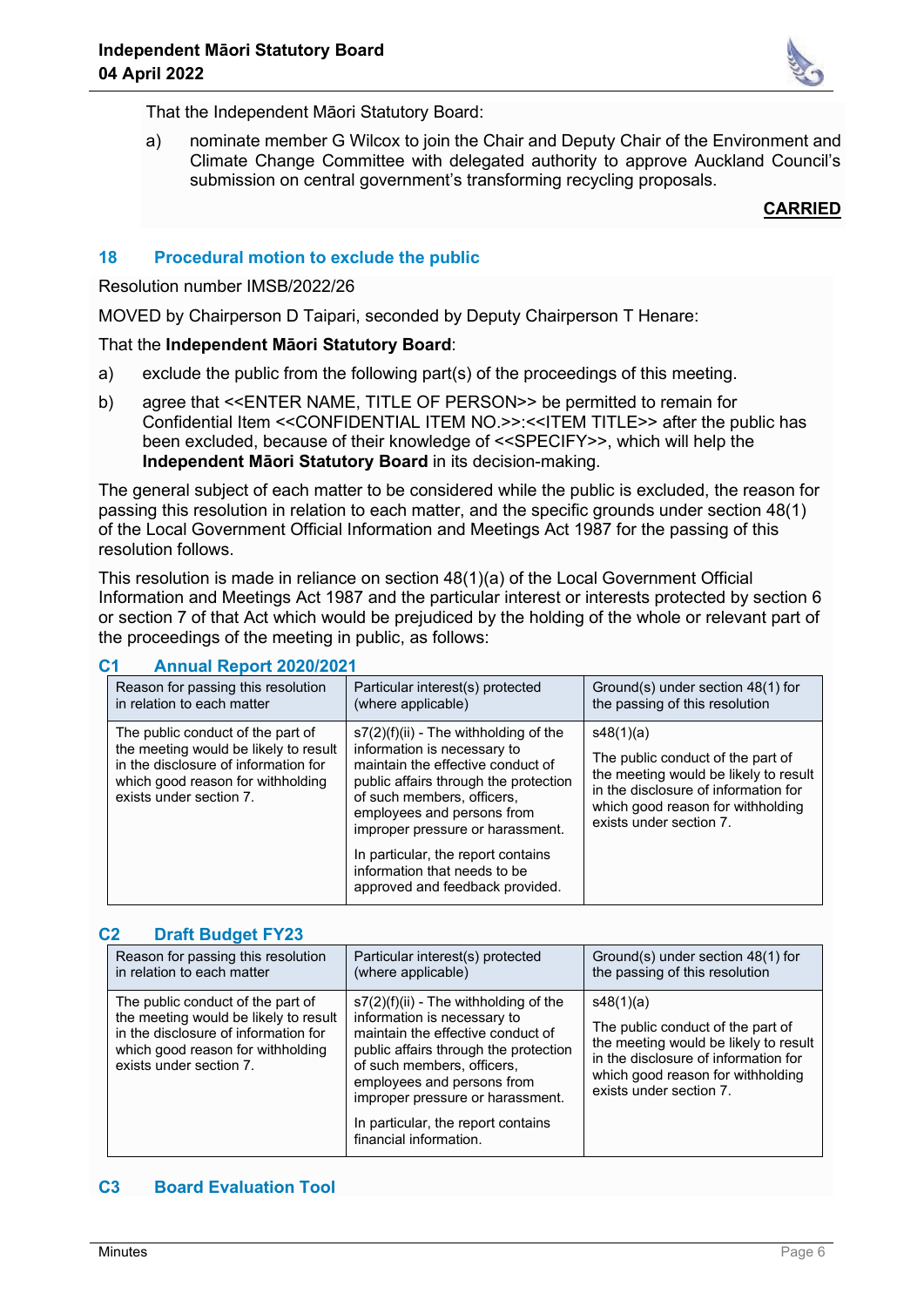

That the Independent Māori Statutory Board:

a) nominate member G Wilcox to join the Chair and Deputy Chair of the Environment and Climate Change Committee with delegated authority to approve Auckland Council's submission on central government's transforming recycling proposals.

### **CARRIED**

### **18 Procedural motion to exclude the public**

### Resolution number IMSB/2022/26

MOVED by Chairperson D Taipari, seconded by Deputy Chairperson T Henare:

### That the **Independent Māori Statutory Board**:

- a) exclude the public from the following part(s) of the proceedings of this meeting.
- b) agree that <<ENTER NAME, TITLE OF PERSON>> be permitted to remain for Confidential Item <<CONFIDENTIAL ITEM NO.>>:<<ITEM TITLE>> after the public has been excluded, because of their knowledge of <<SPECIFY>>, which will help the **Independent Māori Statutory Board** in its decision-making.

The general subject of each matter to be considered while the public is excluded, the reason for passing this resolution in relation to each matter, and the specific grounds under section 48(1) of the Local Government Official Information and Meetings Act 1987 for the passing of this resolution follows.

This resolution is made in reliance on section 48(1)(a) of the Local Government Official Information and Meetings Act 1987 and the particular interest or interests protected by section 6 or section 7 of that Act which would be prejudiced by the holding of the whole or relevant part of the proceedings of the meeting in public, as follows:

### **C1 Annual Report 2020/2021**

| Reason for passing this resolution<br>in relation to each matter                                                                                                                   | Particular interest(s) protected<br>(where applicable)                                                                                                                                                                                               | Ground(s) under section 48(1) for<br>the passing of this resolution                                                                                                                             |
|------------------------------------------------------------------------------------------------------------------------------------------------------------------------------------|------------------------------------------------------------------------------------------------------------------------------------------------------------------------------------------------------------------------------------------------------|-------------------------------------------------------------------------------------------------------------------------------------------------------------------------------------------------|
| The public conduct of the part of<br>the meeting would be likely to result<br>in the disclosure of information for<br>which good reason for withholding<br>exists under section 7. | $s7(2)(f)(ii)$ - The withholding of the<br>information is necessary to<br>maintain the effective conduct of<br>public affairs through the protection<br>of such members, officers,<br>employees and persons from<br>improper pressure or harassment. | s48(1)(a)<br>The public conduct of the part of<br>the meeting would be likely to result<br>in the disclosure of information for<br>which good reason for withholding<br>exists under section 7. |
|                                                                                                                                                                                    | In particular, the report contains<br>information that needs to be<br>approved and feedback provided.                                                                                                                                                |                                                                                                                                                                                                 |

### **C2 Draft Budget FY23**

| Reason for passing this resolution                                                                                                                                                 | Particular interest(s) protected                                                                                                                                                                                                                                                                                     | Ground(s) under section 48(1) for                                                                                                                                                               |
|------------------------------------------------------------------------------------------------------------------------------------------------------------------------------------|----------------------------------------------------------------------------------------------------------------------------------------------------------------------------------------------------------------------------------------------------------------------------------------------------------------------|-------------------------------------------------------------------------------------------------------------------------------------------------------------------------------------------------|
| in relation to each matter                                                                                                                                                         | (where applicable)                                                                                                                                                                                                                                                                                                   | the passing of this resolution                                                                                                                                                                  |
| The public conduct of the part of<br>the meeting would be likely to result<br>in the disclosure of information for<br>which good reason for withholding<br>exists under section 7. | $s7(2)(f)(ii)$ - The withholding of the<br>information is necessary to<br>maintain the effective conduct of<br>public affairs through the protection<br>of such members, officers,<br>employees and persons from<br>improper pressure or harassment.<br>In particular, the report contains<br>financial information. | s48(1)(a)<br>The public conduct of the part of<br>the meeting would be likely to result<br>in the disclosure of information for<br>which good reason for withholding<br>exists under section 7. |

### **C3 Board Evaluation Tool**